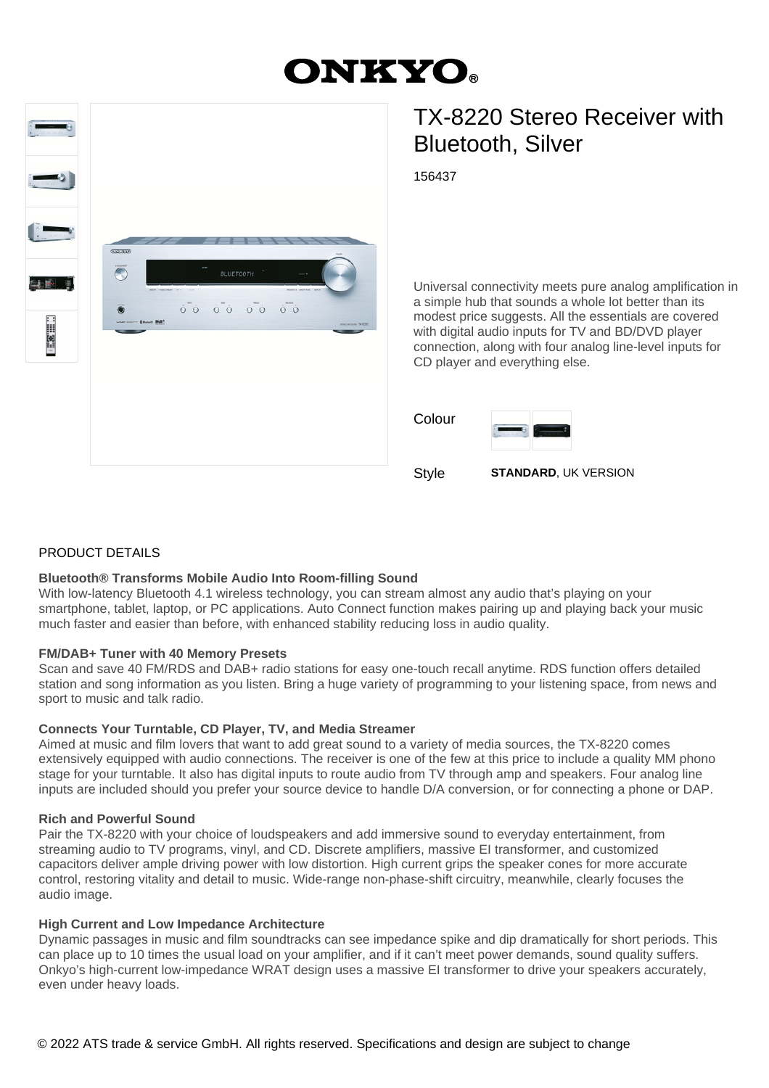# **ONKYO.**



## TX-8220 Stereo Receiver with Bluetooth, Silver

156437

Universal connectivity meets pure analog amplification in a simple hub that sounds a whole lot better than its modest price suggests. All the essentials are covered with digital audio inputs for TV and BD/DVD player connection, along with four analog line-level inputs for CD player and everything else.

| Colour | 0.000<br><b>Service</b> | <b>CONTRACTOR</b> |
|--------|-------------------------|-------------------|
|        |                         |                   |

Style **STANDARD**, UK VERSION

#### PRODUCT DETAILS

#### **Bluetooth® Transforms Mobile Audio Into Room-filling Sound**

With low-latency Bluetooth 4.1 wireless technology, you can stream almost any audio that's playing on your smartphone, tablet, laptop, or PC applications. Auto Connect function makes pairing up and playing back your music much faster and easier than before, with enhanced stability reducing loss in audio quality.

#### **FM/DAB+ Tuner with 40 Memory Presets**

Scan and save 40 FM/RDS and DAB+ radio stations for easy one-touch recall anytime. RDS function offers detailed station and song information as you listen. Bring a huge variety of programming to your listening space, from news and sport to music and talk radio.

#### **Connects Your Turntable, CD Player, TV, and Media Streamer**

Aimed at music and film lovers that want to add great sound to a variety of media sources, the TX-8220 comes extensively equipped with audio connections. The receiver is one of the few at this price to include a quality MM phono stage for your turntable. It also has digital inputs to route audio from TV through amp and speakers. Four analog line inputs are included should you prefer your source device to handle D/A conversion, or for connecting a phone or DAP.

#### **Rich and Powerful Sound**

Pair the TX-8220 with your choice of loudspeakers and add immersive sound to everyday entertainment, from streaming audio to TV programs, vinyl, and CD. Discrete amplifiers, massive EI transformer, and customized capacitors deliver ample driving power with low distortion. High current grips the speaker cones for more accurate control, restoring vitality and detail to music. Wide-range non-phase-shift circuitry, meanwhile, clearly focuses the audio image.

#### **High Current and Low Impedance Architecture**

Dynamic passages in music and film soundtracks can see impedance spike and dip dramatically for short periods. This can place up to 10 times the usual load on your amplifier, and if it can't meet power demands, sound quality suffers. Onkyo's high-current low-impedance WRAT design uses a massive EI transformer to drive your speakers accurately, even under heavy loads.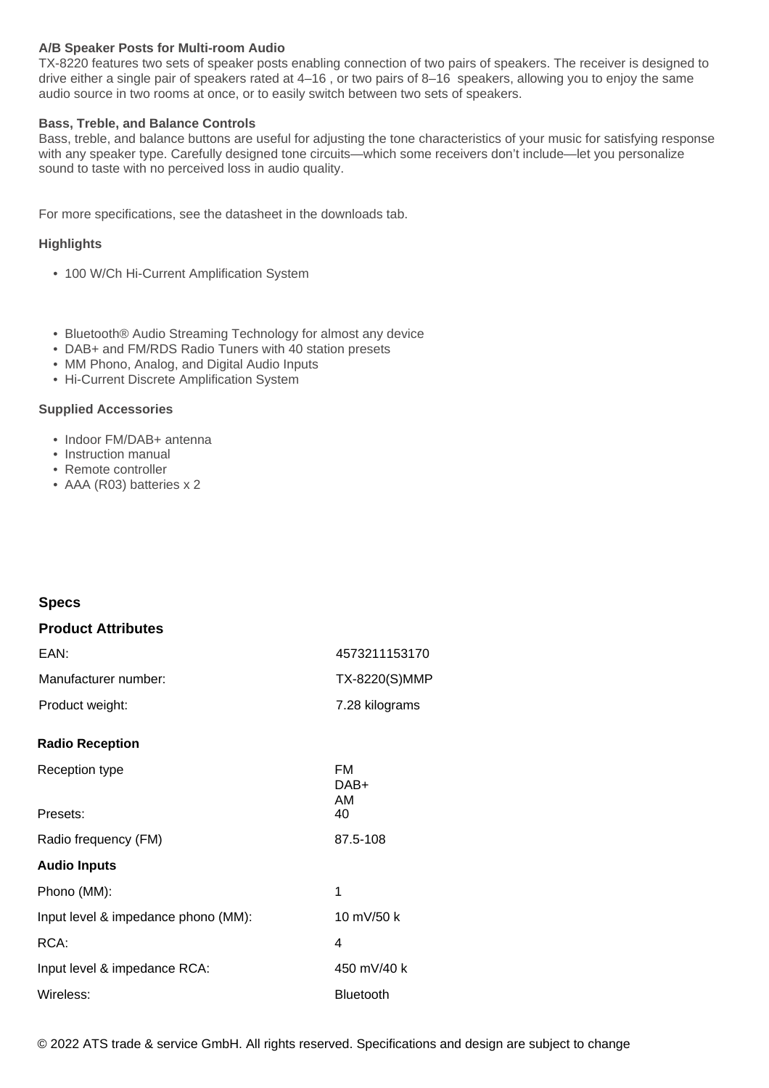#### **A/B Speaker Posts for Multi-room Audio**

TX-8220 features two sets of speaker posts enabling connection of two pairs of speakers. The receiver is designed to drive either a single pair of speakers rated at 4–16 , or two pairs of 8–16 speakers, allowing you to enjoy the same audio source in two rooms at once, or to easily switch between two sets of speakers.

#### **Bass, Treble, and Balance Controls**

Bass, treble, and balance buttons are useful for adjusting the tone characteristics of your music for satisfying response with any speaker type. Carefully designed tone circuits—which some receivers don't include—let you personalize sound to taste with no perceived loss in audio quality.

For more specifications, see the datasheet in the downloads tab.

#### **Highlights**

- 100 W/Ch Hi-Current Amplification System
- Bluetooth® Audio Streaming Technology for almost any device
- DAB+ and FM/RDS Radio Tuners with 40 station presets
- MM Phono, Analog, and Digital Audio Inputs
- Hi-Current Discrete Amplification System

#### **Supplied Accessories**

- Indoor FM/DAB+ antenna
- Instruction manual
- Remote controller
- AAA (R03) batteries x 2

#### **Specs**

| <b>Product Attributes</b>           |                         |
|-------------------------------------|-------------------------|
| EAN:                                | 4573211153170           |
| Manufacturer number:                | TX-8220(S)MMP           |
| Product weight:                     | 7.28 kilograms          |
| <b>Radio Reception</b>              |                         |
| Reception type                      | <b>FM</b><br>DAB+<br>AM |
| Presets:                            | 40                      |
| Radio frequency (FM)                | 87.5-108                |
| <b>Audio Inputs</b>                 |                         |
| Phono (MM):                         | 1                       |
| Input level & impedance phono (MM): | 10 mV/50 k              |
| RCA:                                | 4                       |
| Input level & impedance RCA:        | 450 mV/40 k             |
| Wireless:                           | <b>Bluetooth</b>        |